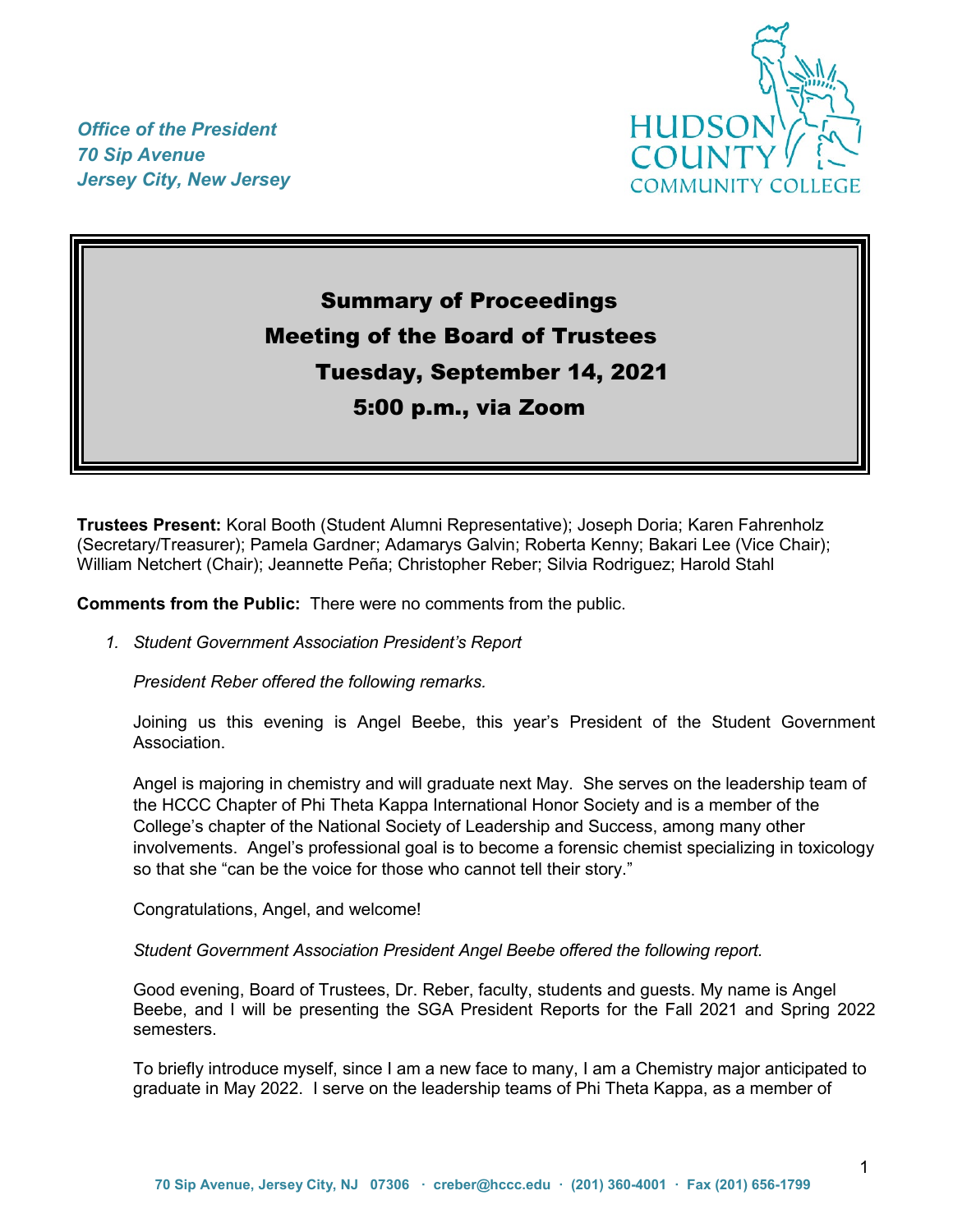*Office of the President 70 Sip Avenue Jersey City, New Jersey*



# Summary of Proceedings Meeting of the Board of Trustees Tuesday, September 14, 2021 5:00 p.m., via Zoom

**Trustees Present:** Koral Booth (Student Alumni Representative); Joseph Doria; Karen Fahrenholz (Secretary/Treasurer); Pamela Gardner; Adamarys Galvin; Roberta Kenny; Bakari Lee (Vice Chair); William Netchert (Chair); Jeannette Peña; Christopher Reber; Silvia Rodriguez; Harold Stahl

**Comments from the Public:** There were no comments from the public.

*1. Student Government Association President's Report* 

*President Reber offered the following remarks.* 

Joining us this evening is Angel Beebe, this year's President of the Student Government Association.

Angel is majoring in chemistry and will graduate next May. She serves on the leadership team of the HCCC Chapter of Phi Theta Kappa International Honor Society and is a member of the College's chapter of the National Society of Leadership and Success, among many other involvements. Angel's professional goal is to become a forensic chemist specializing in toxicology so that she "can be the voice for those who cannot tell their story."

Congratulations, Angel, and welcome!

*Student Government Association President Angel Beebe offered the following report.*

Good evening, Board of Trustees, Dr. Reber, faculty, students and guests. My name is Angel Beebe, and I will be presenting the SGA President Reports for the Fall 2021 and Spring 2022 semesters.

To briefly introduce myself, since I am a new face to many, I am a Chemistry major anticipated to graduate in May 2022. I serve on the leadership teams of Phi Theta Kappa, as a member of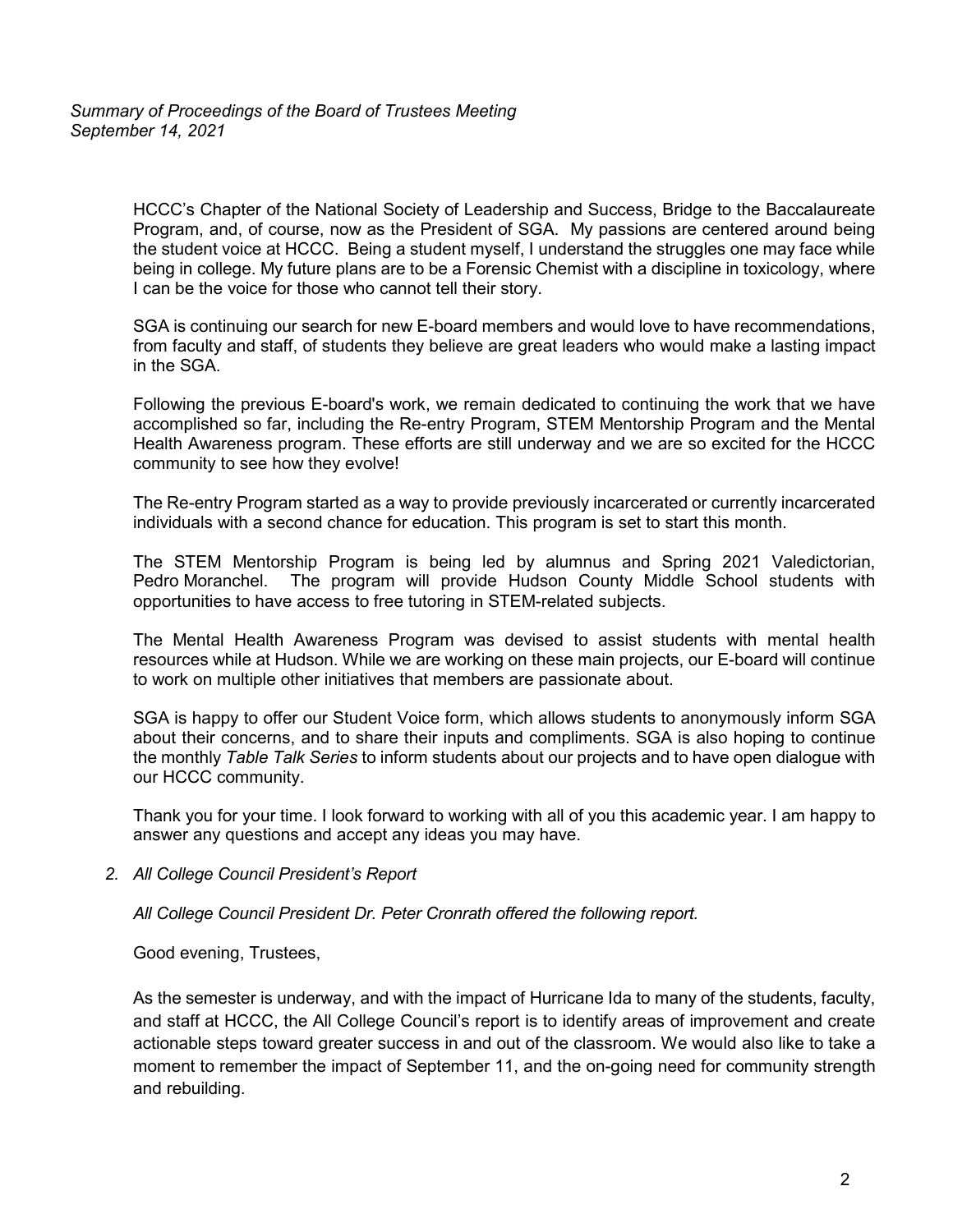HCCC's Chapter of the National Society of Leadership and Success, Bridge to the Baccalaureate Program, and, of course, now as the President of SGA. My passions are centered around being the student voice at HCCC. Being a student myself, I understand the struggles one may face while being in college. My future plans are to be a Forensic Chemist with a discipline in toxicology, where I can be the voice for those who cannot tell their story.

SGA is continuing our search for new E-board members and would love to have recommendations, from faculty and staff, of students they believe are great leaders who would make a lasting impact in the SGA.

Following the previous E-board's work, we remain dedicated to continuing the work that we have accomplished so far, including the Re-entry Program, STEM Mentorship Program and the Mental Health Awareness program. These efforts are still underway and we are so excited for the HCCC community to see how they evolve!

The Re-entry Program started as a way to provide previously incarcerated or currently incarcerated individuals with a second chance for education. This program is set to start this month.

The STEM Mentorship Program is being led by alumnus and Spring 2021 Valedictorian, Pedro Moranchel. The program will provide Hudson County Middle School students with opportunities to have access to free tutoring in STEM-related subjects.

The Mental Health Awareness Program was devised to assist students with mental health resources while at Hudson. While we are working on these main projects, our E-board will continue to work on multiple other initiatives that members are passionate about.

SGA is happy to offer our Student Voice form, which allows students to anonymously inform SGA about their concerns, and to share their inputs and compliments. SGA is also hoping to continue the monthly *Table Talk Series* to inform students about our projects and to have open dialogue with our HCCC community.

Thank you for your time. I look forward to working with all of you this academic year. I am happy to answer any questions and accept any ideas you may have.

*2. All College Council President's Report* 

*All College Council President Dr. Peter Cronrath offered the following report.*

Good evening, Trustees,

As the semester is underway, and with the impact of Hurricane Ida to many of the students, faculty, and staff at HCCC, the All College Council's report is to identify areas of improvement and create actionable steps toward greater success in and out of the classroom. We would also like to take a moment to remember the impact of September 11, and the on-going need for community strength and rebuilding.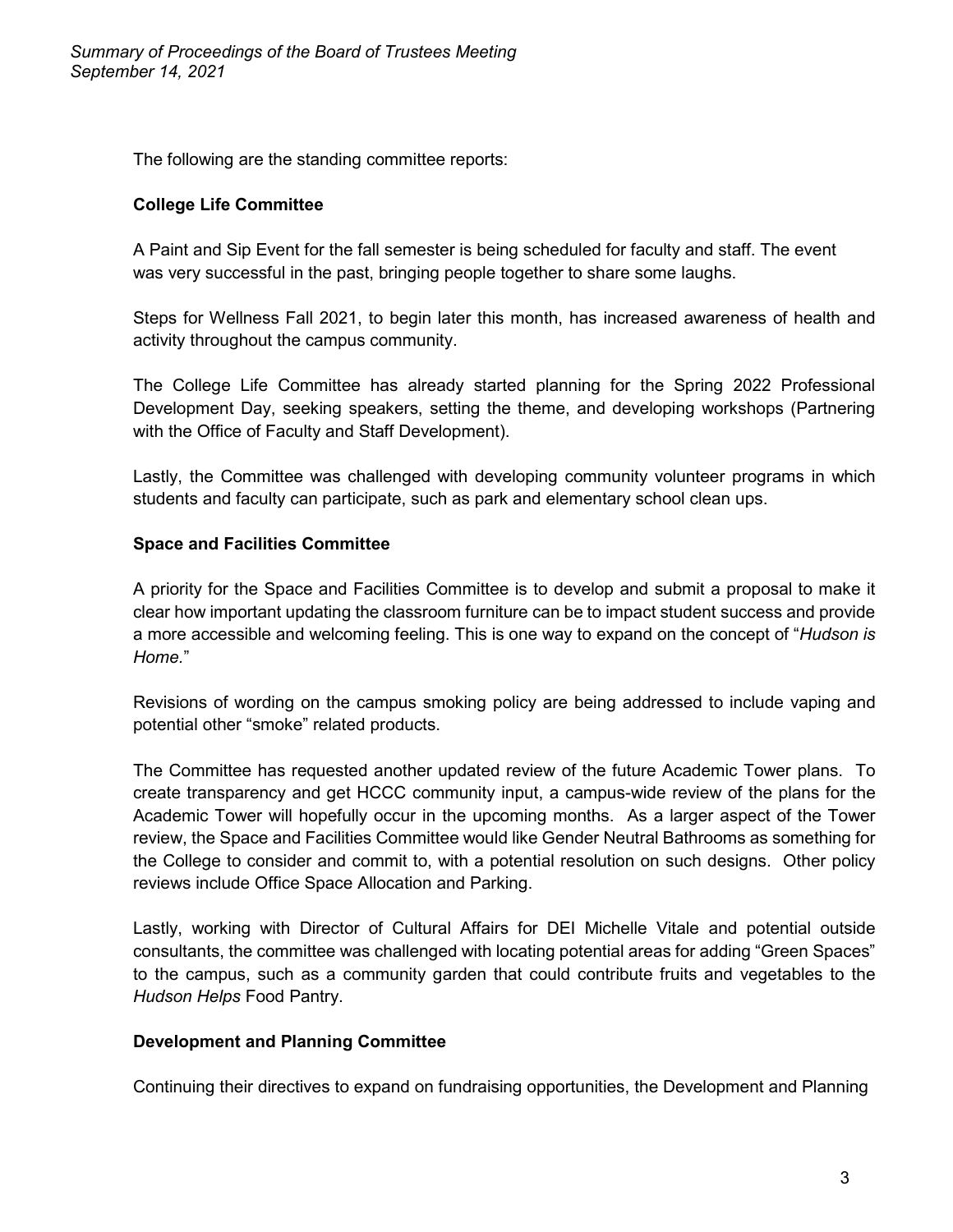The following are the standing committee reports:

## **College Life Committee**

A Paint and Sip Event for the fall semester is being scheduled for faculty and staff. The event was very successful in the past, bringing people together to share some laughs.

Steps for Wellness Fall 2021, to begin later this month, has increased awareness of health and activity throughout the campus community.

The College Life Committee has already started planning for the Spring 2022 Professional Development Day, seeking speakers, setting the theme, and developing workshops (Partnering with the Office of Faculty and Staff Development).

Lastly, the Committee was challenged with developing community volunteer programs in which students and faculty can participate, such as park and elementary school clean ups.

## **Space and Facilities Committee**

A priority for the Space and Facilities Committee is to develop and submit a proposal to make it clear how important updating the classroom furniture can be to impact student success and provide a more accessible and welcoming feeling. This is one way to expand on the concept of "*Hudson is Home.*"

Revisions of wording on the campus smoking policy are being addressed to include vaping and potential other "smoke" related products.

The Committee has requested another updated review of the future Academic Tower plans. To create transparency and get HCCC community input, a campus-wide review of the plans for the Academic Tower will hopefully occur in the upcoming months. As a larger aspect of the Tower review, the Space and Facilities Committee would like Gender Neutral Bathrooms as something for the College to consider and commit to, with a potential resolution on such designs. Other policy reviews include Office Space Allocation and Parking.

Lastly, working with Director of Cultural Affairs for DEI Michelle Vitale and potential outside consultants, the committee was challenged with locating potential areas for adding "Green Spaces" to the campus, such as a community garden that could contribute fruits and vegetables to the *Hudson Helps* Food Pantry.

## **Development and Planning Committee**

Continuing their directives to expand on fundraising opportunities, the Development and Planning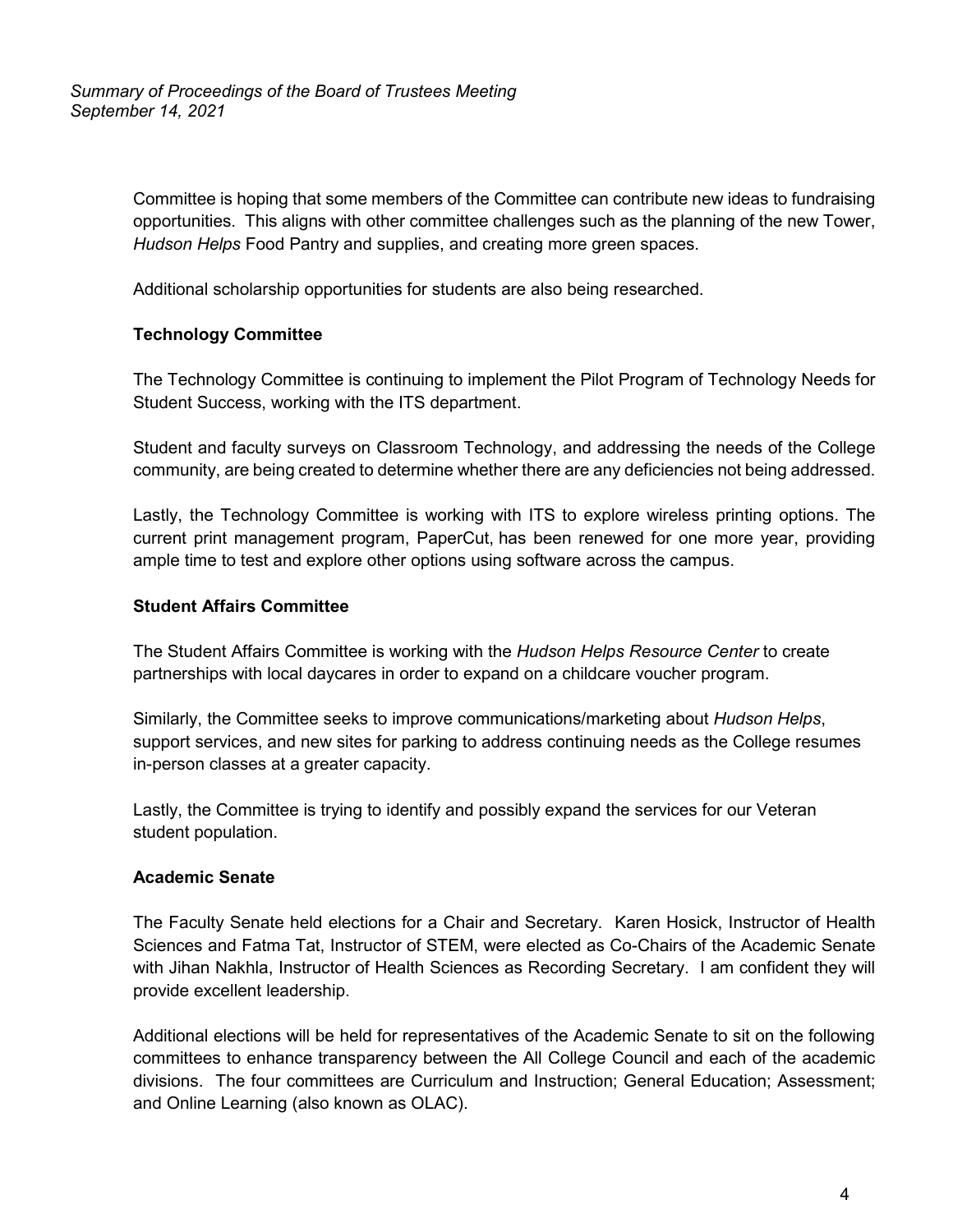Committee is hoping that some members of the Committee can contribute new ideas to fundraising opportunities. This aligns with other committee challenges such as the planning of the new Tower, *Hudson Helps* Food Pantry and supplies, and creating more green spaces.

Additional scholarship opportunities for students are also being researched.

# **Technology Committee**

The Technology Committee is continuing to implement the Pilot Program of Technology Needs for Student Success, working with the ITS department.

Student and faculty surveys on Classroom Technology, and addressing the needs of the College community, are being created to determine whether there are any deficiencies not being addressed.

Lastly, the Technology Committee is working with ITS to explore wireless printing options. The current print management program, PaperCut, has been renewed for one more year, providing ample time to test and explore other options using software across the campus.

# **Student Affairs Committee**

The Student Affairs Committee is working with the *Hudson Helps Resource Center* to create partnerships with local daycares in order to expand on a childcare voucher program.

Similarly, the Committee seeks to improve communications/marketing about *Hudson Helps*, support services, and new sites for parking to address continuing needs as the College resumes in-person classes at a greater capacity.

Lastly, the Committee is trying to identify and possibly expand the services for our Veteran student population.

# **Academic Senate**

The Faculty Senate held elections for a Chair and Secretary. Karen Hosick, Instructor of Health Sciences and Fatma Tat, Instructor of STEM, were elected as Co-Chairs of the Academic Senate with Jihan Nakhla, Instructor of Health Sciences as Recording Secretary. I am confident they will provide excellent leadership.

Additional elections will be held for representatives of the Academic Senate to sit on the following committees to enhance transparency between the All College Council and each of the academic divisions. The four committees are Curriculum and Instruction; General Education; Assessment; and Online Learning (also known as OLAC).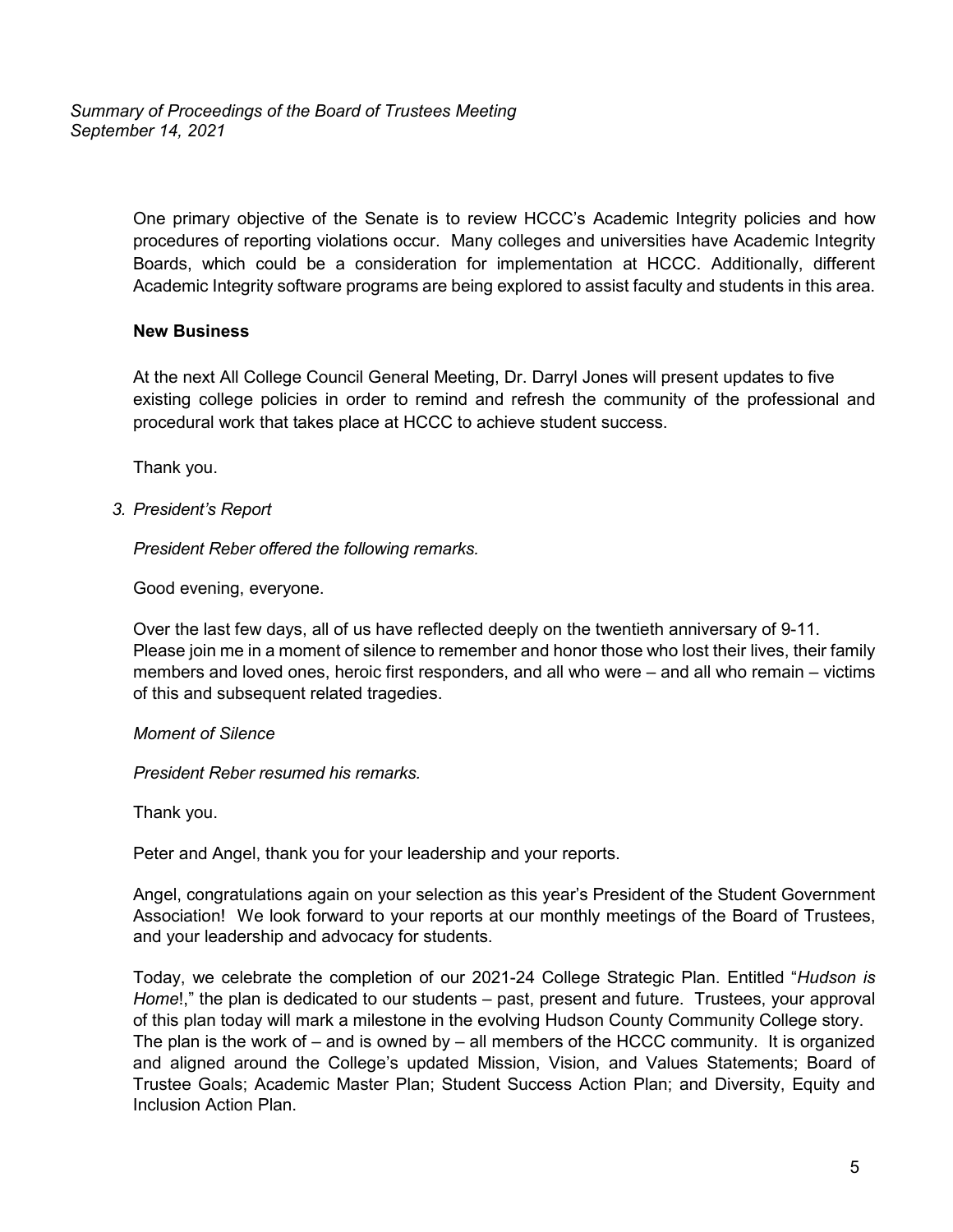*Summary of Proceedings of the Board of Trustees Meeting September 14, 2021*

> One primary objective of the Senate is to review HCCC's Academic Integrity policies and how procedures of reporting violations occur. Many colleges and universities have Academic Integrity Boards, which could be a consideration for implementation at HCCC. Additionally, different Academic Integrity software programs are being explored to assist faculty and students in this area.

## **New Business**

At the next All College Council General Meeting, Dr. Darryl Jones will present updates to five existing college policies in order to remind and refresh the community of the professional and procedural work that takes place at HCCC to achieve student success.

Thank you.

## *3. President's Report*

*President Reber offered the following remarks.*

Good evening, everyone.

Over the last few days, all of us have reflected deeply on the twentieth anniversary of 9-11. Please join me in a moment of silence to remember and honor those who lost their lives, their family members and loved ones, heroic first responders, and all who were – and all who remain – victims of this and subsequent related tragedies.

## *Moment of Silence*

*President Reber resumed his remarks.*

Thank you.

Peter and Angel, thank you for your leadership and your reports.

Angel, congratulations again on your selection as this year's President of the Student Government Association! We look forward to your reports at our monthly meetings of the Board of Trustees, and your leadership and advocacy for students.

Today, we celebrate the completion of our 2021-24 College Strategic Plan. Entitled "*Hudson is Home*!," the plan is dedicated to our students – past, present and future. Trustees, your approval of this plan today will mark a milestone in the evolving Hudson County Community College story. The plan is the work of  $-$  and is owned by  $-$  all members of the HCCC community. It is organized and aligned around the College's updated Mission, Vision, and Values Statements; Board of Trustee Goals; Academic Master Plan; Student Success Action Plan; and Diversity, Equity and Inclusion Action Plan.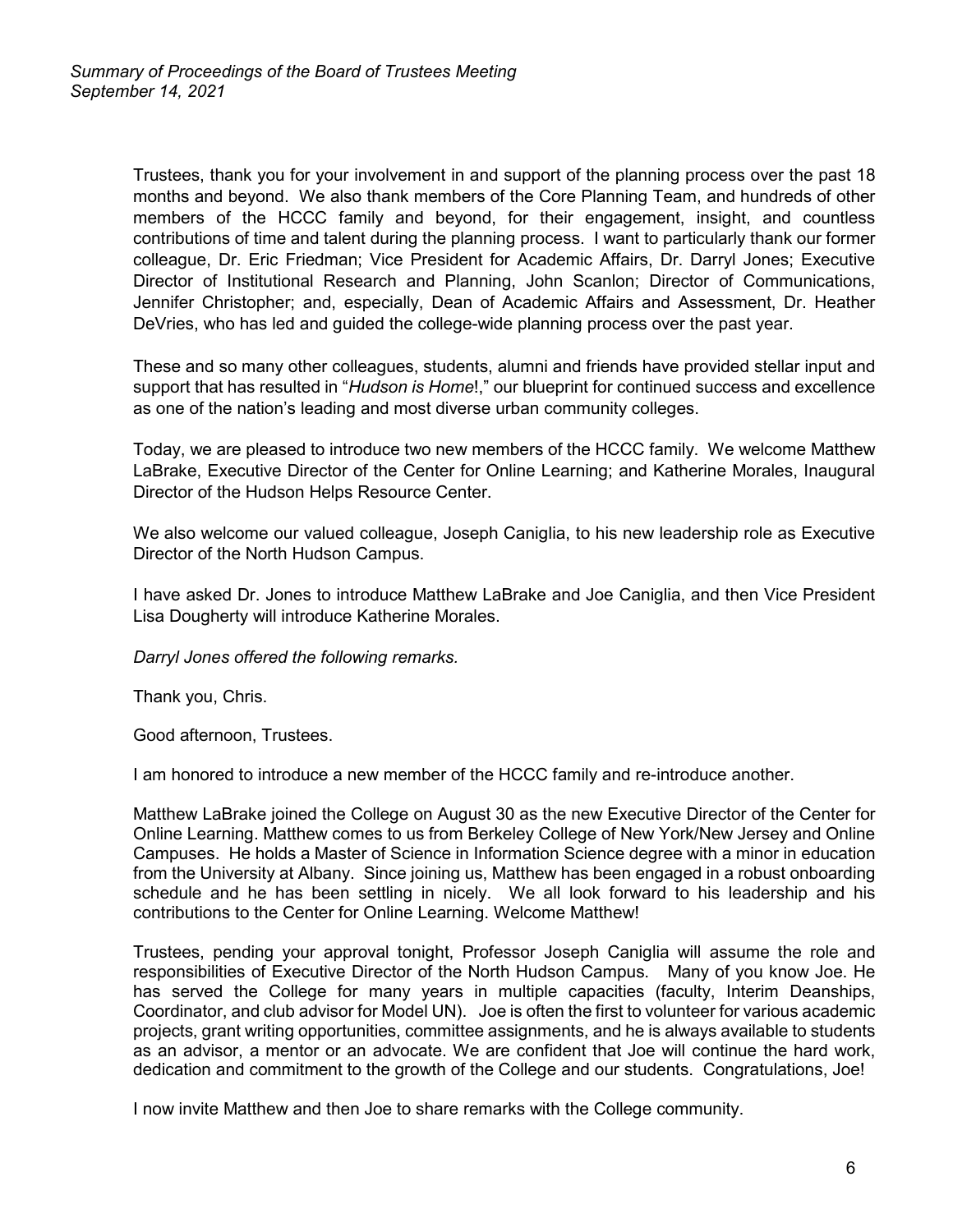Trustees, thank you for your involvement in and support of the planning process over the past 18 months and beyond. We also thank members of the Core Planning Team, and hundreds of other members of the HCCC family and beyond, for their engagement, insight, and countless contributions of time and talent during the planning process. I want to particularly thank our former colleague, Dr. Eric Friedman; Vice President for Academic Affairs, Dr. Darryl Jones; Executive Director of Institutional Research and Planning, John Scanlon; Director of Communications, Jennifer Christopher; and, especially, Dean of Academic Affairs and Assessment, Dr. Heather DeVries, who has led and guided the college-wide planning process over the past year.

These and so many other colleagues, students, alumni and friends have provided stellar input and support that has resulted in "*Hudson is Home*!," our blueprint for continued success and excellence as one of the nation's leading and most diverse urban community colleges.

Today, we are pleased to introduce two new members of the HCCC family. We welcome Matthew LaBrake, Executive Director of the Center for Online Learning; and Katherine Morales, Inaugural Director of the Hudson Helps Resource Center.

We also welcome our valued colleague, Joseph Caniglia, to his new leadership role as Executive Director of the North Hudson Campus.

I have asked Dr. Jones to introduce Matthew LaBrake and Joe Caniglia, and then Vice President Lisa Dougherty will introduce Katherine Morales.

#### *Darryl Jones offered the following remarks.*

Thank you, Chris.

Good afternoon, Trustees.

I am honored to introduce a new member of the HCCC family and re-introduce another.

Matthew LaBrake joined the College on August 30 as the new Executive Director of the Center for Online Learning. Matthew comes to us from Berkeley College of New York/New Jersey and Online Campuses. He holds a Master of Science in Information Science degree with a minor in education from the University at Albany. Since joining us, Matthew has been engaged in a robust onboarding schedule and he has been settling in nicely. We all look forward to his leadership and his contributions to the Center for Online Learning. Welcome Matthew!

Trustees, pending your approval tonight, Professor Joseph Caniglia will assume the role and responsibilities of Executive Director of the North Hudson Campus. Many of you know Joe. He has served the College for many years in multiple capacities (faculty, Interim Deanships, Coordinator, and club advisor for Model UN). Joe is often the first to volunteer for various academic projects, grant writing opportunities, committee assignments, and he is always available to students as an advisor, a mentor or an advocate. We are confident that Joe will continue the hard work, dedication and commitment to the growth of the College and our students. Congratulations, Joe!

I now invite Matthew and then Joe to share remarks with the College community.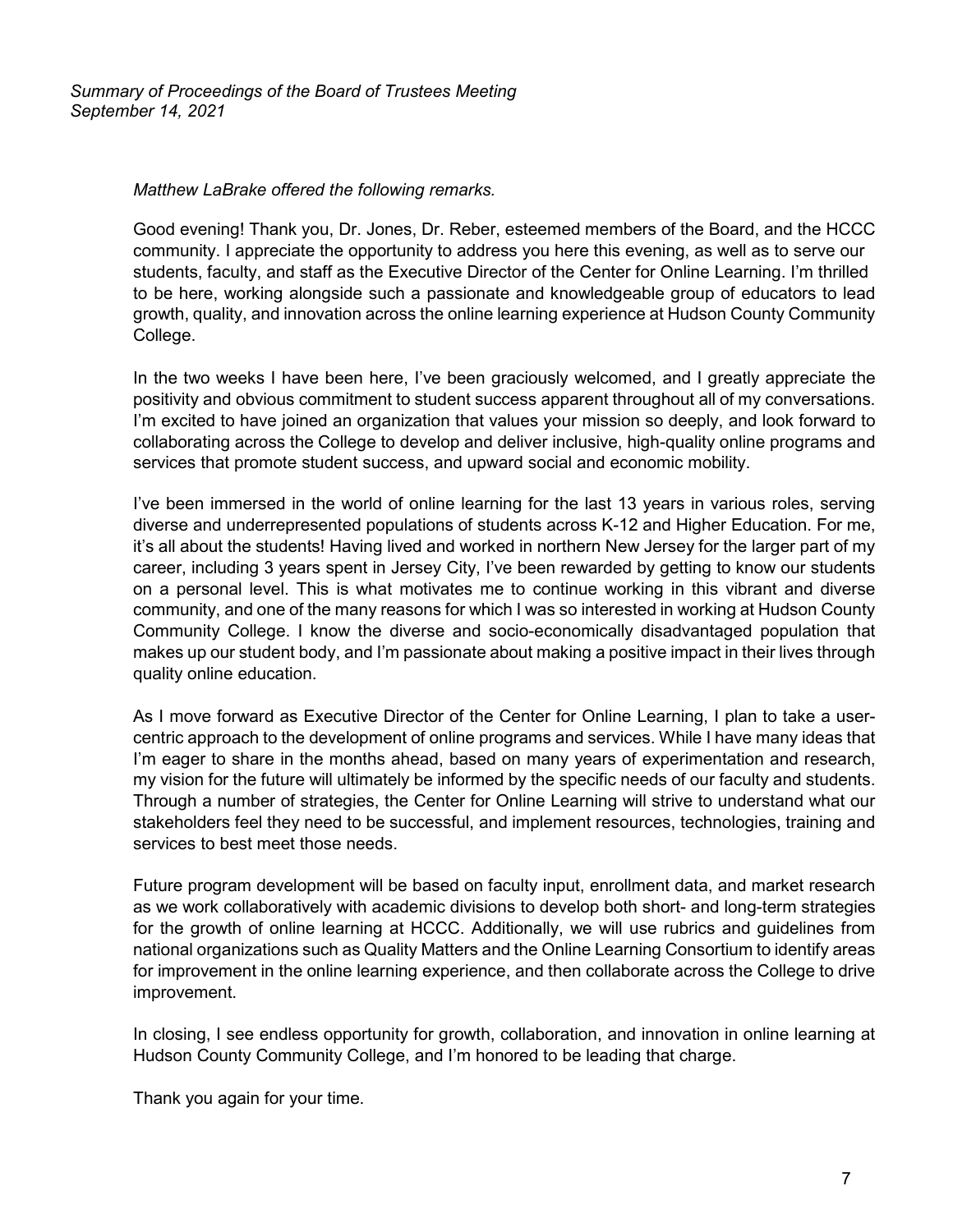*Summary of Proceedings of the Board of Trustees Meeting September 14, 2021*

#### *Matthew LaBrake offered the following remarks.*

Good evening! Thank you, Dr. Jones, Dr. Reber, esteemed members of the Board, and the HCCC community. I appreciate the opportunity to address you here this evening, as well as to serve our students, faculty, and staff as the Executive Director of the Center for Online Learning. I'm thrilled to be here, working alongside such a passionate and knowledgeable group of educators to lead growth, quality, and innovation across the online learning experience at Hudson County Community College.

In the two weeks I have been here, I've been graciously welcomed, and I greatly appreciate the positivity and obvious commitment to student success apparent throughout all of my conversations. I'm excited to have joined an organization that values your mission so deeply, and look forward to collaborating across the College to develop and deliver inclusive, high-quality online programs and services that promote student success, and upward social and economic mobility.

I've been immersed in the world of online learning for the last 13 years in various roles, serving diverse and underrepresented populations of students across K-12 and Higher Education. For me, it's all about the students! Having lived and worked in northern New Jersey for the larger part of my career, including 3 years spent in Jersey City, I've been rewarded by getting to know our students on a personal level. This is what motivates me to continue working in this vibrant and diverse community, and one of the many reasons for which I was so interested in working at Hudson County Community College. I know the diverse and socio-economically disadvantaged population that makes up our student body, and I'm passionate about making a positive impact in their lives through quality online education.

As I move forward as Executive Director of the Center for Online Learning, I plan to take a usercentric approach to the development of online programs and services. While I have many ideas that I'm eager to share in the months ahead, based on many years of experimentation and research, my vision for the future will ultimately be informed by the specific needs of our faculty and students. Through a number of strategies, the Center for Online Learning will strive to understand what our stakeholders feel they need to be successful, and implement resources, technologies, training and services to best meet those needs.

Future program development will be based on faculty input, enrollment data, and market research as we work collaboratively with academic divisions to develop both short- and long-term strategies for the growth of online learning at HCCC. Additionally, we will use rubrics and guidelines from national organizations such as Quality Matters and the Online Learning Consortium to identify areas for improvement in the online learning experience, and then collaborate across the College to drive improvement.

In closing, I see endless opportunity for growth, collaboration, and innovation in online learning at Hudson County Community College, and I'm honored to be leading that charge.

Thank you again for your time.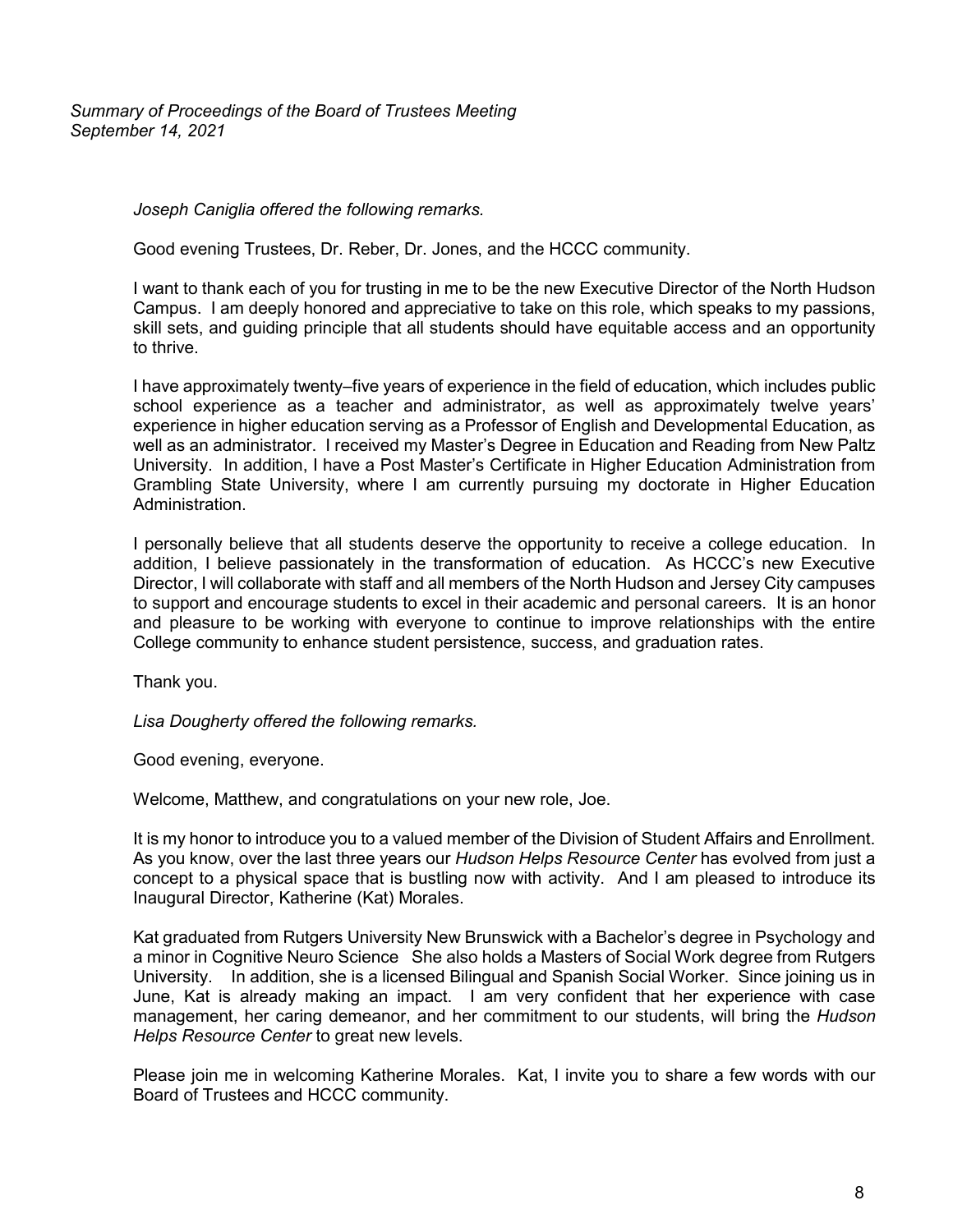*Summary of Proceedings of the Board of Trustees Meeting September 14, 2021*

*Joseph Caniglia offered the following remarks.*

Good evening Trustees, Dr. Reber, Dr. Jones, and the HCCC community.

I want to thank each of you for trusting in me to be the new Executive Director of the North Hudson Campus. I am deeply honored and appreciative to take on this role, which speaks to my passions, skill sets, and guiding principle that all students should have equitable access and an opportunity to thrive.

I have approximately twenty–five years of experience in the field of education, which includes public school experience as a teacher and administrator, as well as approximately twelve years' experience in higher education serving as a Professor of English and Developmental Education, as well as an administrator. I received my Master's Degree in Education and Reading from New Paltz University. In addition, I have a Post Master's Certificate in Higher Education Administration from Grambling State University, where I am currently pursuing my doctorate in Higher Education Administration.

I personally believe that all students deserve the opportunity to receive a college education. In addition, I believe passionately in the transformation of education. As HCCC's new Executive Director, I will collaborate with staff and all members of the North Hudson and Jersey City campuses to support and encourage students to excel in their academic and personal careers. It is an honor and pleasure to be working with everyone to continue to improve relationships with the entire College community to enhance student persistence, success, and graduation rates.

Thank you.

*Lisa Dougherty offered the following remarks.*

Good evening, everyone.

Welcome, Matthew, and congratulations on your new role, Joe.

It is my honor to introduce you to a valued member of the Division of Student Affairs and Enrollment. As you know, over the last three years our *Hudson Helps Resource Center* has evolved from just a concept to a physical space that is bustling now with activity. And I am pleased to introduce its Inaugural Director, Katherine (Kat) Morales.

Kat graduated from Rutgers University New Brunswick with a Bachelor's degree in Psychology and a minor in Cognitive Neuro Science She also holds a Masters of Social Work degree from Rutgers University. In addition, she is a licensed Bilingual and Spanish Social Worker. Since joining us in June, Kat is already making an impact. I am very confident that her experience with case management, her caring demeanor, and her commitment to our students, will bring the *Hudson Helps Resource Center* to great new levels.

Please join me in welcoming Katherine Morales. Kat, I invite you to share a few words with our Board of Trustees and HCCC community.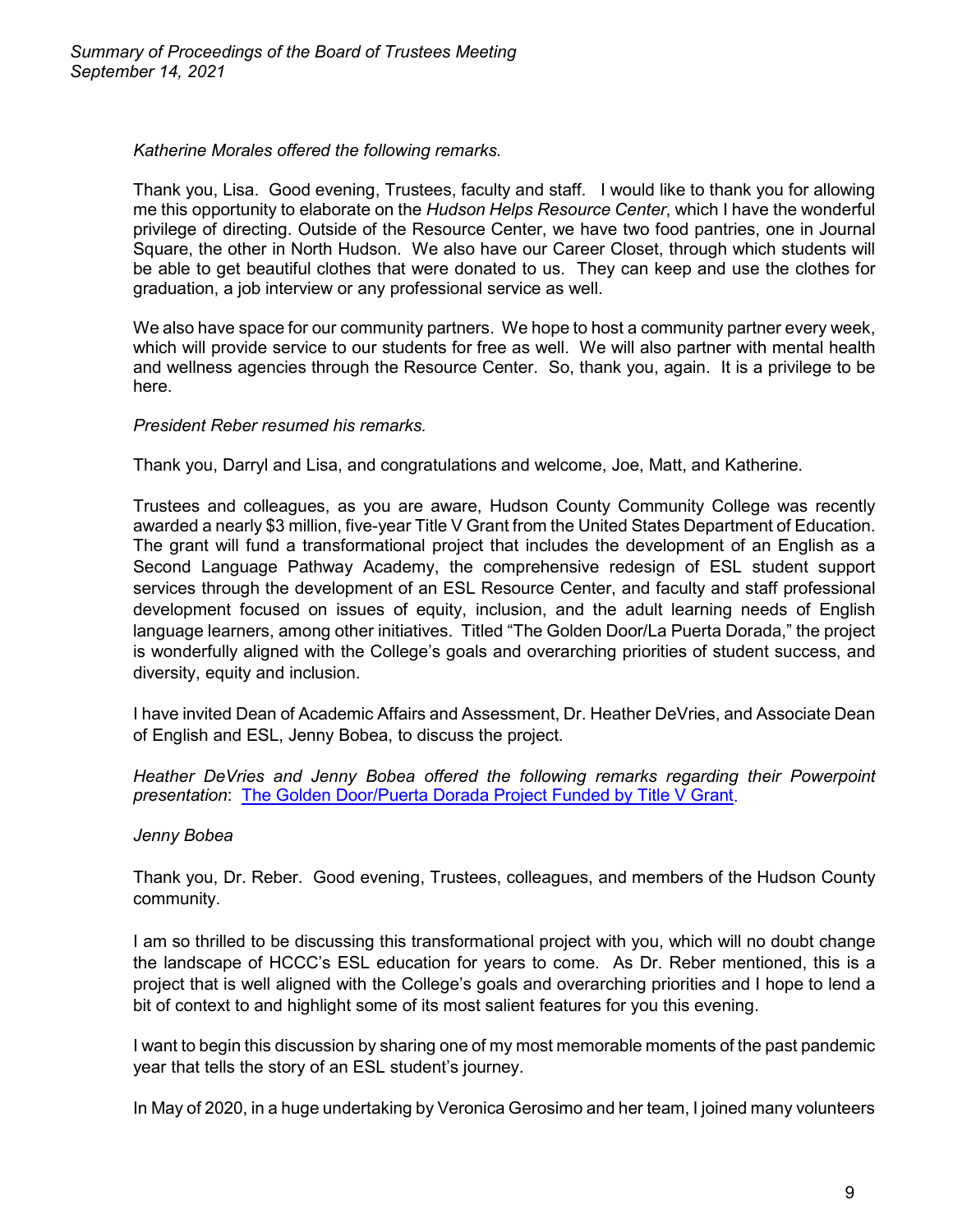*Katherine Morales offered the following remarks.*

Thank you, Lisa. Good evening, Trustees, faculty and staff. I would like to thank you for allowing me this opportunity to elaborate on the *Hudson Helps Resource Center*, which I have the wonderful privilege of directing. Outside of the Resource Center, we have two food pantries, one in Journal Square, the other in North Hudson. We also have our Career Closet, through which students will be able to get beautiful clothes that were donated to us. They can keep and use the clothes for graduation, a job interview or any professional service as well.

We also have space for our community partners. We hope to host a community partner every week, which will provide service to our students for free as well. We will also partner with mental health and wellness agencies through the Resource Center. So, thank you, again. It is a privilege to be here.

## *President Reber resumed his remarks.*

Thank you, Darryl and Lisa, and congratulations and welcome, Joe, Matt, and Katherine.

Trustees and colleagues, as you are aware, Hudson County Community College was recently awarded a nearly \$3 million, five-year Title V Grant from the United States Department of Education. The grant will fund a transformational project that includes the development of an English as a Second Language Pathway Academy, the comprehensive redesign of ESL student support services through the development of an ESL Resource Center, and faculty and staff professional development focused on issues of equity, inclusion, and the adult learning needs of English language learners, among other initiatives. Titled "The Golden Door/La Puerta Dorada," the project is wonderfully aligned with the College's goals and overarching priorities of student success, and diversity, equity and inclusion.

I have invited Dean of Academic Affairs and Assessment, Dr. Heather DeVries, and Associate Dean of English and ESL, Jenny Bobea, to discuss the project.

*Heather DeVries and Jenny Bobea offered the following remarks regarding their Powerpoint presentation*: [The Golden Door/Puerta Dorada Project Funded by Title V Grant.](https://myhudson.hccc.edu/president/PEC%20Documents/the-golden-door-puerta-dorada-project-funded-by-title-V-grant.pdf)

## *Jenny Bobea*

Thank you, Dr. Reber. Good evening, Trustees, colleagues, and members of the Hudson County community.

I am so thrilled to be discussing this transformational project with you, which will no doubt change the landscape of HCCC's ESL education for years to come. As Dr. Reber mentioned, this is a project that is well aligned with the College's goals and overarching priorities and I hope to lend a bit of context to and highlight some of its most salient features for you this evening.

I want to begin this discussion by sharing one of my most memorable moments of the past pandemic year that tells the story of an ESL student's journey.

In May of 2020, in a huge undertaking by Veronica Gerosimo and her team, I joined many volunteers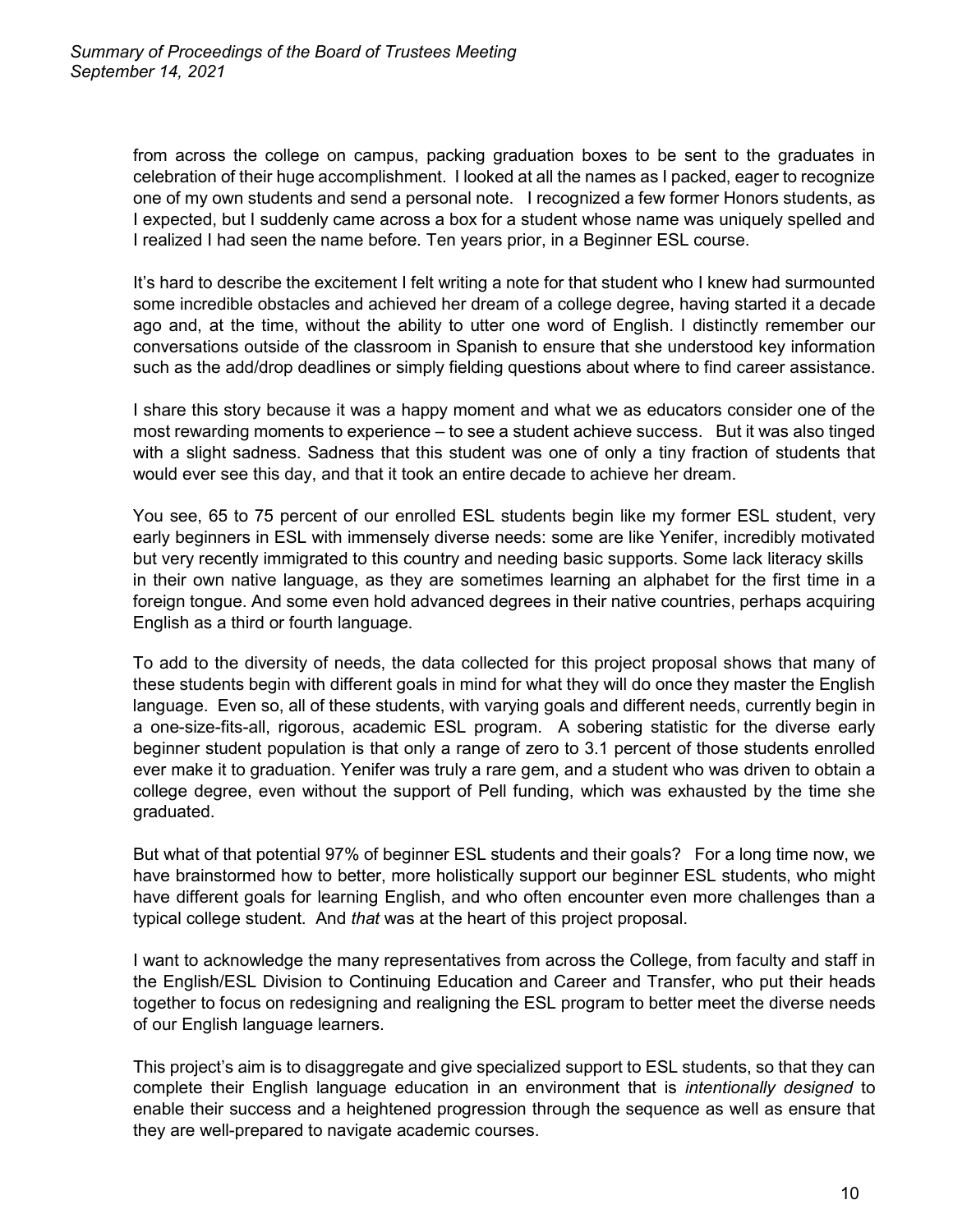from across the college on campus, packing graduation boxes to be sent to the graduates in celebration of their huge accomplishment. I looked at all the names as I packed, eager to recognize one of my own students and send a personal note. I recognized a few former Honors students, as I expected, but I suddenly came across a box for a student whose name was uniquely spelled and I realized I had seen the name before. Ten years prior, in a Beginner ESL course.

It's hard to describe the excitement I felt writing a note for that student who I knew had surmounted some incredible obstacles and achieved her dream of a college degree, having started it a decade ago and, at the time, without the ability to utter one word of English. I distinctly remember our conversations outside of the classroom in Spanish to ensure that she understood key information such as the add/drop deadlines or simply fielding questions about where to find career assistance.

I share this story because it was a happy moment and what we as educators consider one of the most rewarding moments to experience – to see a student achieve success. But it was also tinged with a slight sadness. Sadness that this student was one of only a tiny fraction of students that would ever see this day, and that it took an entire decade to achieve her dream.

You see, 65 to 75 percent of our enrolled ESL students begin like my former ESL student, very early beginners in ESL with immensely diverse needs: some are like Yenifer, incredibly motivated but very recently immigrated to this country and needing basic supports. Some lack literacy skills in their own native language, as they are sometimes learning an alphabet for the first time in a foreign tongue. And some even hold advanced degrees in their native countries, perhaps acquiring English as a third or fourth language.

To add to the diversity of needs, the data collected for this project proposal shows that many of these students begin with different goals in mind for what they will do once they master the English language. Even so, all of these students, with varying goals and different needs, currently begin in a one-size-fits-all, rigorous, academic ESL program. A sobering statistic for the diverse early beginner student population is that only a range of zero to 3.1 percent of those students enrolled ever make it to graduation. Yenifer was truly a rare gem, and a student who was driven to obtain a college degree, even without the support of Pell funding, which was exhausted by the time she graduated.

But what of that potential 97% of beginner ESL students and their goals? For a long time now, we have brainstormed how to better, more holistically support our beginner ESL students, who might have different goals for learning English, and who often encounter even more challenges than a typical college student. And *that* was at the heart of this project proposal.

I want to acknowledge the many representatives from across the College, from faculty and staff in the English/ESL Division to Continuing Education and Career and Transfer, who put their heads together to focus on redesigning and realigning the ESL program to better meet the diverse needs of our English language learners.

This project's aim is to disaggregate and give specialized support to ESL students, so that they can complete their English language education in an environment that is *intentionally designed* to enable their success and a heightened progression through the sequence as well as ensure that they are well-prepared to navigate academic courses.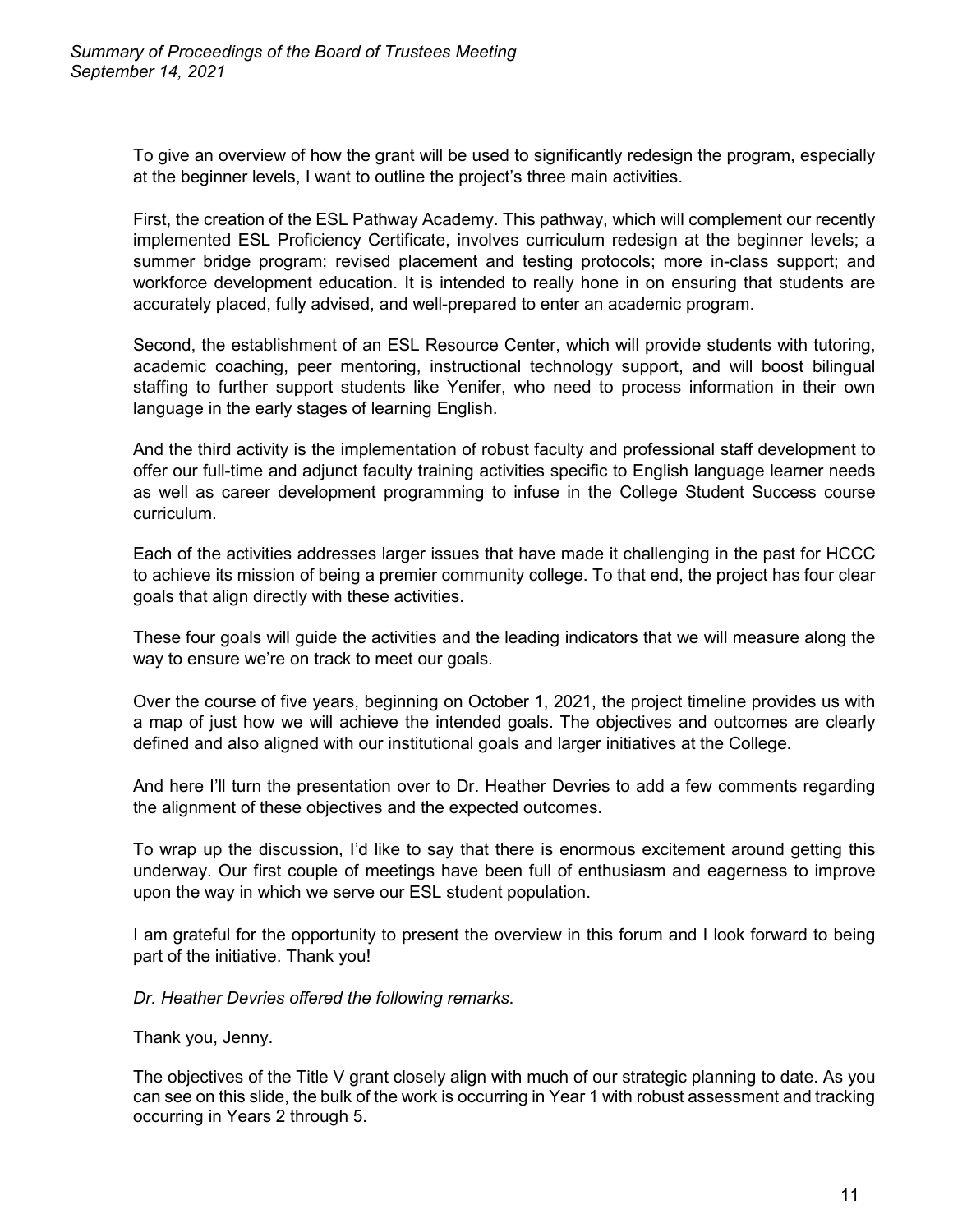To give an overview of how the grant will be used to significantly redesign the program, especially at the beginner levels, I want to outline the project's three main activities.

First, the creation of the ESL Pathway Academy. This pathway, which will complement our recently implemented ESL Proficiency Certificate, involves curriculum redesign at the beginner levels; a summer bridge program; revised placement and testing protocols; more in-class support; and workforce development education. It is intended to really hone in on ensuring that students are accurately placed, fully advised, and well-prepared to enter an academic program.

Second, the establishment of an ESL Resource Center, which will provide students with tutoring, academic coaching, peer mentoring, instructional technology support, and will boost bilingual staffing to further support students like Yenifer, who need to process information in their own language in the early stages of learning English.

And the third activity is the implementation of robust faculty and professional staff development to offer our full-time and adjunct faculty training activities specific to English language learner needs as well as career development programming to infuse in the College Student Success course curriculum.

Each of the activities addresses larger issues that have made it challenging in the past for HCCC to achieve its mission of being a premier community college. To that end, the project has four clear goals that align directly with these activities.

These four goals will guide the activities and the leading indicators that we will measure along the way to ensure we're on track to meet our goals.

Over the course of five years, beginning on October 1, 2021, the project timeline provides us with a map of just how we will achieve the intended goals. The objectives and outcomes are clearly defined and also aligned with our institutional goals and larger initiatives at the College.

And here I'll turn the presentation over to Dr. Heather Devries to add a few comments regarding the alignment of these objectives and the expected outcomes.

To wrap up the discussion, I'd like to say that there is enormous excitement around getting this underway. Our first couple of meetings have been full of enthusiasm and eagerness to improve upon the way in which we serve our ESL student population.

I am grateful for the opportunity to present the overview in this forum and I look forward to being part of the initiative. Thank you!

*Dr. Heather Devries offered the following remarks*.

Thank you, Jenny.

The objectives of the Title V grant closely align with much of our strategic planning to date. As you can see on this slide, the bulk of the work is occurring in Year 1 with robust assessment and tracking occurring in Years 2 through 5.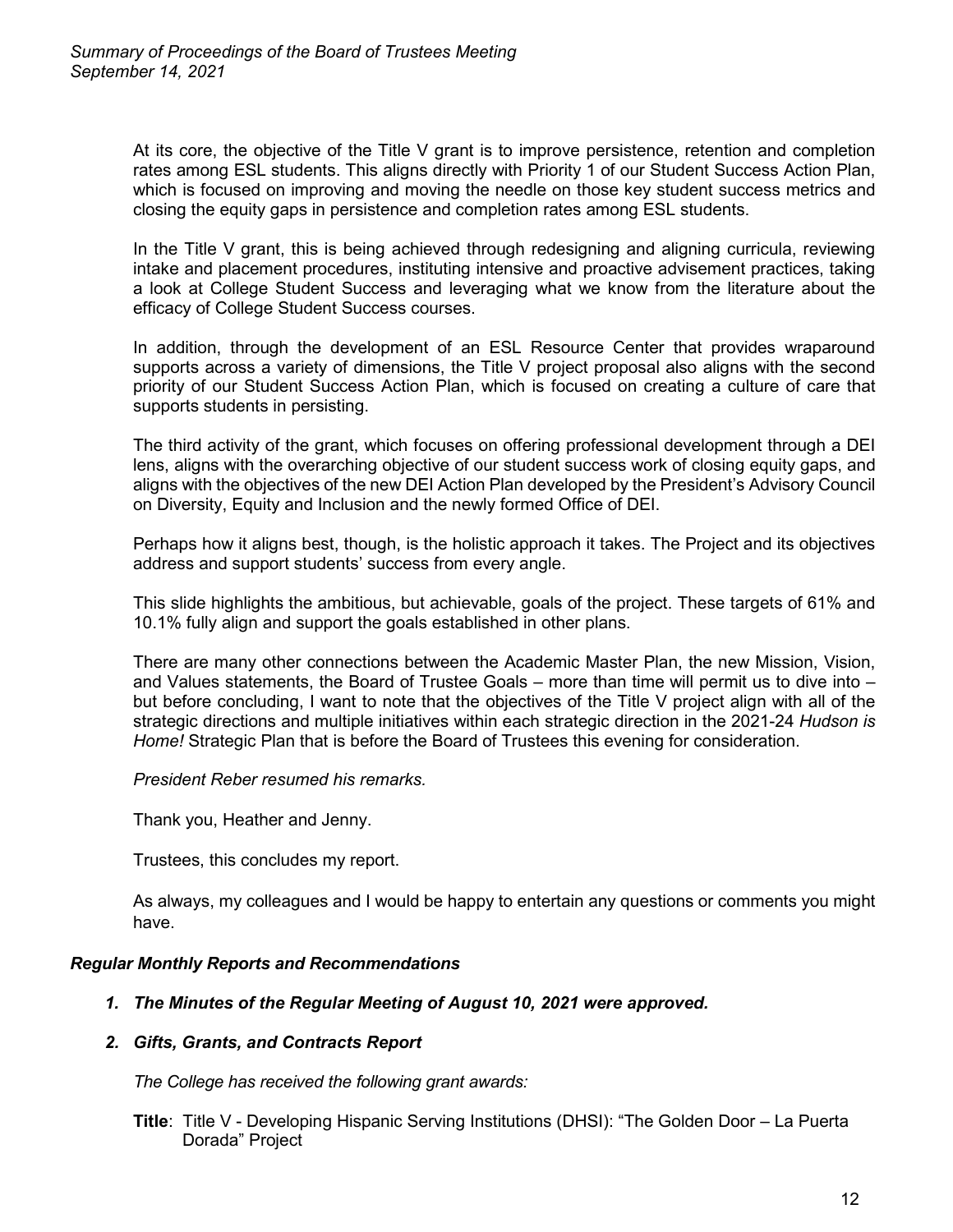At its core, the objective of the Title V grant is to improve persistence, retention and completion rates among ESL students. This aligns directly with Priority 1 of our Student Success Action Plan, which is focused on improving and moving the needle on those key student success metrics and closing the equity gaps in persistence and completion rates among ESL students.

In the Title V grant, this is being achieved through redesigning and aligning curricula, reviewing intake and placement procedures, instituting intensive and proactive advisement practices, taking a look at College Student Success and leveraging what we know from the literature about the efficacy of College Student Success courses.

In addition, through the development of an ESL Resource Center that provides wraparound supports across a variety of dimensions, the Title V project proposal also aligns with the second priority of our Student Success Action Plan, which is focused on creating a culture of care that supports students in persisting.

The third activity of the grant, which focuses on offering professional development through a DEI lens, aligns with the overarching objective of our student success work of closing equity gaps, and aligns with the objectives of the new DEI Action Plan developed by the President's Advisory Council on Diversity, Equity and Inclusion and the newly formed Office of DEI.

Perhaps how it aligns best, though, is the holistic approach it takes. The Project and its objectives address and support students' success from every angle.

This slide highlights the ambitious, but achievable, goals of the project. These targets of 61% and 10.1% fully align and support the goals established in other plans.

There are many other connections between the Academic Master Plan, the new Mission, Vision, and Values statements, the Board of Trustee Goals – more than time will permit us to dive into – but before concluding, I want to note that the objectives of the Title V project align with all of the strategic directions and multiple initiatives within each strategic direction in the 2021-24 *Hudson is Home!* Strategic Plan that is before the Board of Trustees this evening for consideration.

*President Reber resumed his remarks.*

Thank you, Heather and Jenny.

Trustees, this concludes my report.

As always, my colleagues and I would be happy to entertain any questions or comments you might have.

#### *Regular Monthly Reports and Recommendations*

## *1. The Minutes of the Regular Meeting of August 10, 2021 were approved.*

#### *2. Gifts, Grants, and Contracts Report*

*The College has received the following grant awards:*

**Title**: Title V - Developing Hispanic Serving Institutions (DHSI): "The Golden Door – La Puerta Dorada" Project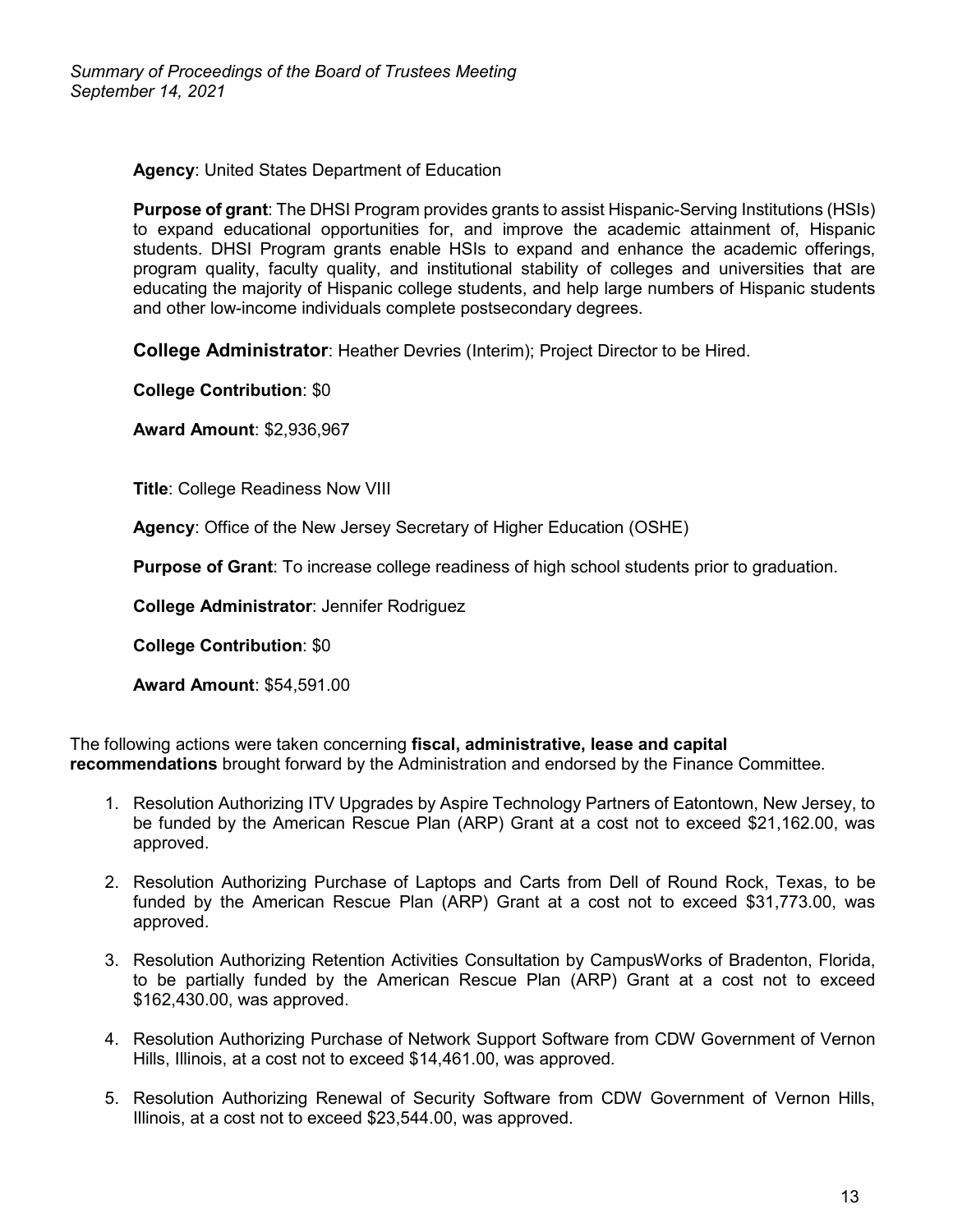**Agency**: United States Department of Education

**Purpose of grant**: The DHSI Program provides grants to assist Hispanic-Serving Institutions (HSIs) to expand educational opportunities for, and improve the academic attainment of, Hispanic students. DHSI Program grants enable HSIs to expand and enhance the academic offerings, program quality, faculty quality, and institutional stability of colleges and universities that are educating the majority of Hispanic college students, and help large numbers of Hispanic students and other low-income individuals complete postsecondary degrees.

**College Administrator**: Heather Devries (Interim); Project Director to be Hired.

**College Contribution**: \$0

**Award Amount**: \$2,936,967

**Title**: College Readiness Now VIII

**Agency**: Office of the New Jersey Secretary of Higher Education (OSHE)

**Purpose of Grant**: To increase college readiness of high school students prior to graduation.

**College Administrator**: Jennifer Rodriguez

**College Contribution**: \$0

**Award Amount**: \$54,591.00

The following actions were taken concerning **fiscal, administrative, lease and capital recommendations** brought forward by the Administration and endorsed by the Finance Committee.

- 1. Resolution Authorizing ITV Upgrades by Aspire Technology Partners of Eatontown, New Jersey, to be funded by the American Rescue Plan (ARP) Grant at a cost not to exceed \$21,162.00, was approved.
- 2. Resolution Authorizing Purchase of Laptops and Carts from Dell of Round Rock, Texas, to be funded by the American Rescue Plan (ARP) Grant at a cost not to exceed \$31,773.00, was approved.
- 3. Resolution Authorizing Retention Activities Consultation by CampusWorks of Bradenton, Florida, to be partially funded by the American Rescue Plan (ARP) Grant at a cost not to exceed \$162,430.00, was approved.
- 4. Resolution Authorizing Purchase of Network Support Software from CDW Government of Vernon Hills, Illinois, at a cost not to exceed \$14,461.00, was approved*.*
- 5. Resolution Authorizing Renewal of Security Software from CDW Government of Vernon Hills, Illinois, at a cost not to exceed \$23,544.00, was approved.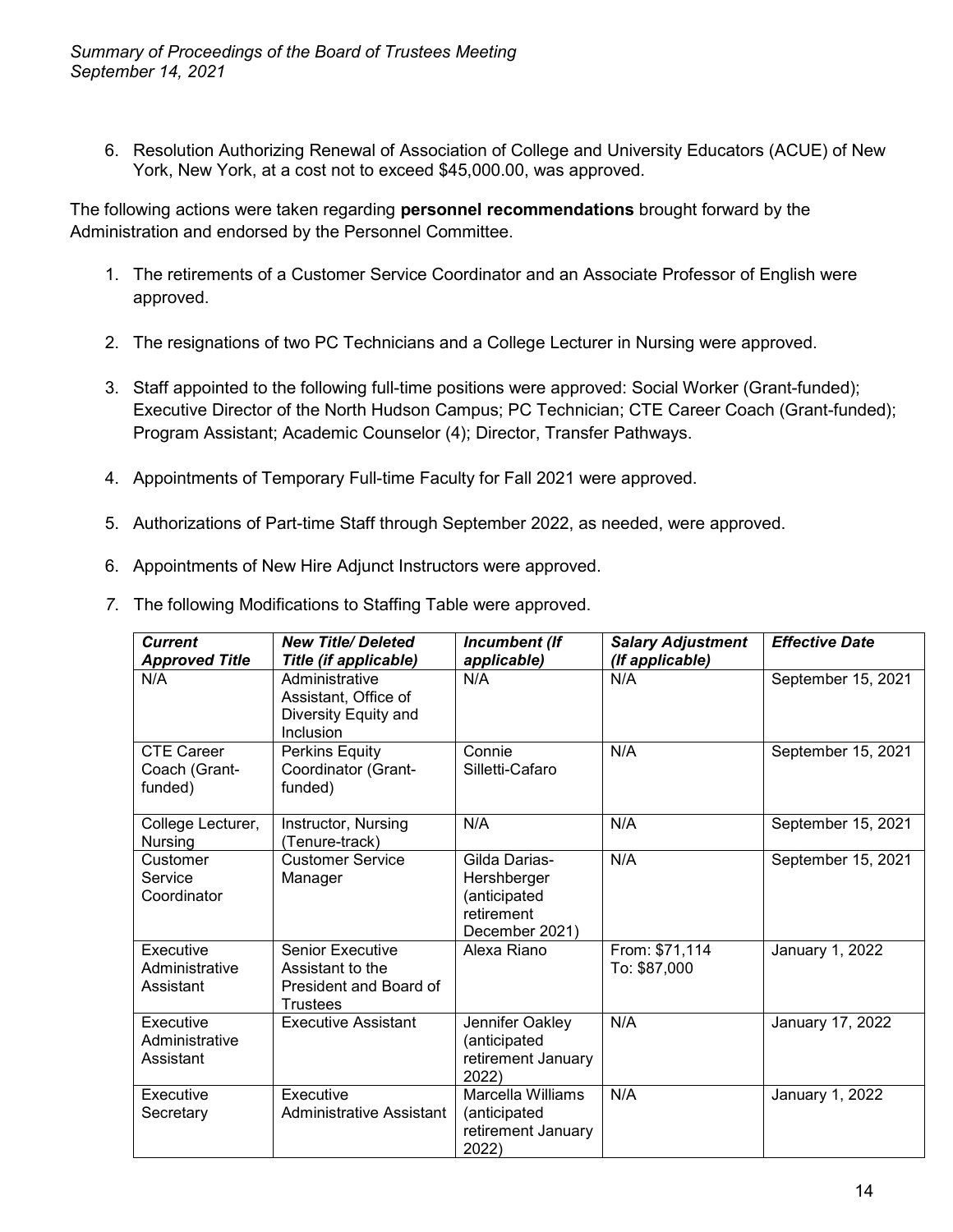6. Resolution Authorizing Renewal of Association of College and University Educators (ACUE) of New York, New York, at a cost not to exceed \$45,000.00, was approved.

The following actions were taken regarding **personnel recommendations** brought forward by the Administration and endorsed by the Personnel Committee.

- 1. The retirements of a Customer Service Coordinator and an Associate Professor of English were approved.
- 2. The resignations of two PC Technicians and a College Lecturer in Nursing were approved.
- 3. Staff appointed to the following full-time positions were approved: Social Worker (Grant-funded); Executive Director of the North Hudson Campus; PC Technician; CTE Career Coach (Grant-funded); Program Assistant; Academic Counselor (4); Director, Transfer Pathways.
- 4. Appointments of Temporary Full-time Faculty for Fall 2021 were approved.
- 5. Authorizations of Part-time Staff through September 2022, as needed, were approved.
- 6. Appointments of New Hire Adjunct Instructors were approved.
- *7*. The following Modifications to Staffing Table were approved.

| <b>Current</b><br><b>Approved Title</b>       | <b>New Title/Deleted</b><br><b>Title (if applicable)</b>                                 | Incumbent (If<br>applicable)                                                 | <b>Salary Adjustment</b><br>(If applicable) | <b>Effective Date</b> |
|-----------------------------------------------|------------------------------------------------------------------------------------------|------------------------------------------------------------------------------|---------------------------------------------|-----------------------|
| N/A                                           | Administrative<br>Assistant, Office of<br>Diversity Equity and<br>Inclusion              | N/A                                                                          | N/A                                         | September 15, 2021    |
| <b>CTE Career</b><br>Coach (Grant-<br>funded) | Perkins Equity<br>Coordinator (Grant-<br>funded)                                         | Connie<br>Silletti-Cafaro                                                    | N/A                                         | September 15, 2021    |
| College Lecturer,<br>Nursing                  | Instructor, Nursing<br>(Tenure-track)                                                    | N/A                                                                          | N/A                                         | September 15, 2021    |
| Customer<br>Service<br>Coordinator            | <b>Customer Service</b><br>Manager                                                       | Gilda Darias-<br>Hershberger<br>(anticipated<br>retirement<br>December 2021) | N/A                                         | September 15, 2021    |
| Executive<br>Administrative<br>Assistant      | <b>Senior Executive</b><br>Assistant to the<br>President and Board of<br><b>Trustees</b> | Alexa Riano                                                                  | From: \$71,114<br>To: \$87,000              | January 1, 2022       |
| Executive<br>Administrative<br>Assistant      | <b>Executive Assistant</b>                                                               | Jennifer Oakley<br>(anticipated<br>retirement January<br>2022)               | N/A                                         | January 17, 2022      |
| Executive<br>Secretary                        | Executive<br>Administrative Assistant                                                    | Marcella Williams<br>(anticipated<br>retirement January<br>2022)             | N/A                                         | January 1, 2022       |